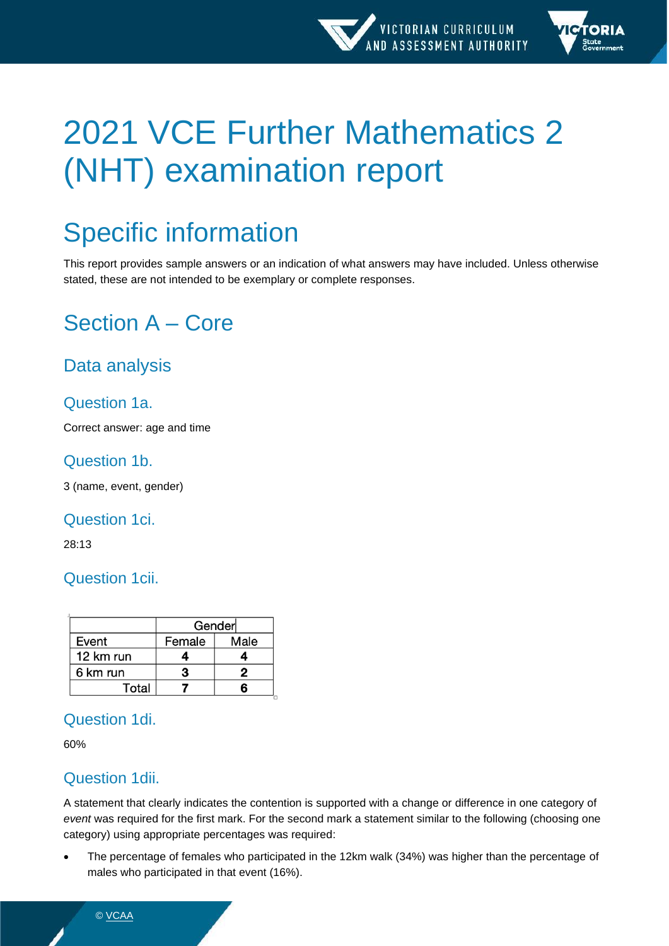

# 2021 VCE Further Mathematics 2 (NHT) examination report

## Specific information

This report provides sample answers or an indication of what answers may have included. Unless otherwise stated, these are not intended to be exemplary or complete responses.

## Section A – Core

## Data analysis

## Question 1a.

Correct answer: age and time

#### Question 1b.

3 (name, event, gender)

#### Question 1ci.

28:13

## Question 1cii.

|           | Gender |      |  |  |  |
|-----------|--------|------|--|--|--|
| Event     | Female | Male |  |  |  |
| 12 km run |        |      |  |  |  |
| 6 km run  | з      | 2    |  |  |  |
| Total     |        |      |  |  |  |

## Question 1di.

60%

## Question 1dii.

A statement that clearly indicates the contention is supported with a change or difference in one category of *event* was required for the first mark. For the second mark a statement similar to the following (choosing one category) using appropriate percentages was required:

• The percentage of females who participated in the 12km walk (34%) was higher than the percentage of males who participated in that event (16%).

© [VCAA](https://www.vcaa.vic.edu.au/Footer/Pages/Copyright.aspx)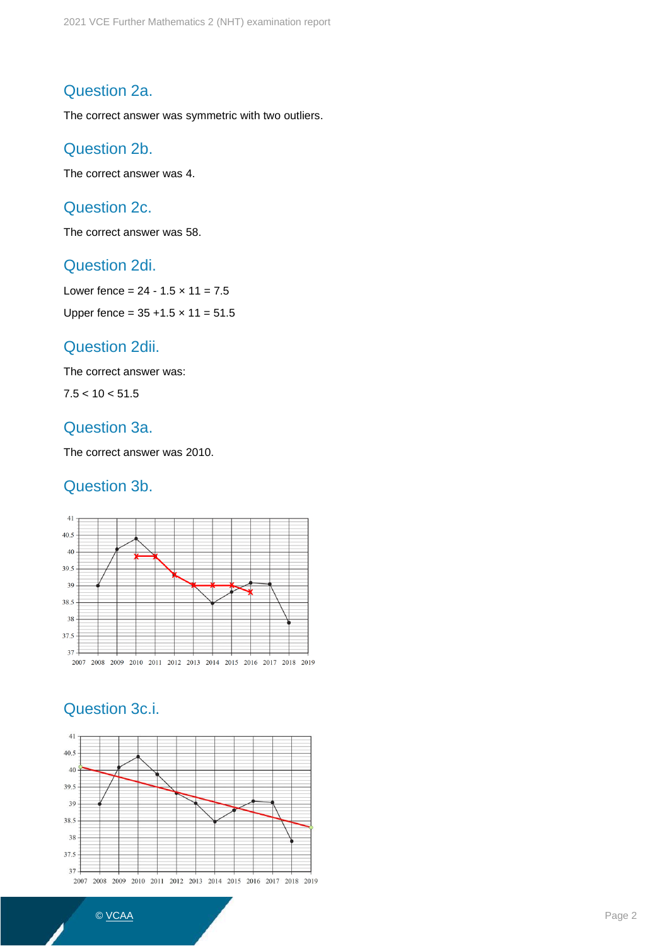#### Question 2a.

The correct answer was symmetric with two outliers.

#### Question 2b.

The correct answer was 4.

## Question 2c.

The correct answer was 58.

#### Question 2di.

Lower fence =  $24 - 1.5 \times 11 = 7.5$ Upper fence =  $35 + 1.5 \times 11 = 51.5$ 

#### Question 2dii.

The correct answer was:

 $7.5 < 10 < 51.5$ 

#### Question 3a.

The correct answer was 2010.

#### Question 3b.



## Question 3c.i.

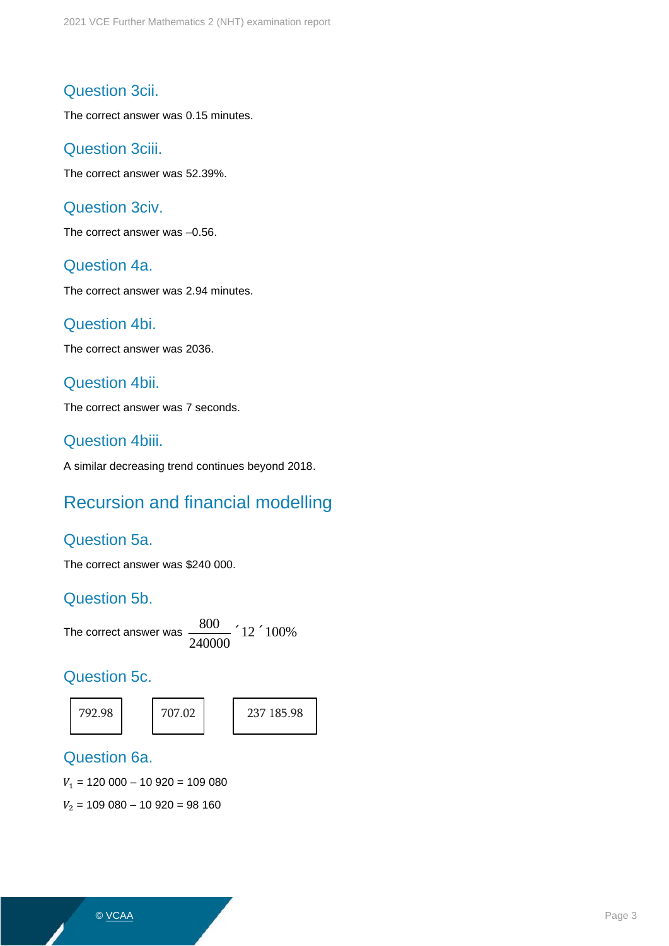#### Question 3cii.

The correct answer was 0.15 minutes.

#### Question 3ciii.

The correct answer was 52.39%.

#### Question 3civ.

The correct answer was –0.56.

#### Question 4a.

The correct answer was 2.94 minutes.

#### Question 4bi.

The correct answer was 2036.

#### Question 4bii.

The correct answer was 7 seconds.

#### Question 4biii.

A similar decreasing trend continues beyond 2018.

## Recursion and financial modelling

#### Question 5a.

The correct answer was \$240 000.

#### Question 5b.

The correct answer was  $\frac{800}{1000}$ 240000  $\degree$ 12 $\degree$ 100%

#### Question 5c.







#### Question 6a.

 $V_1$  = 120 000 – 10 920 = 109 080

 $V_2$  = 109 080 – 10 920 = 98 160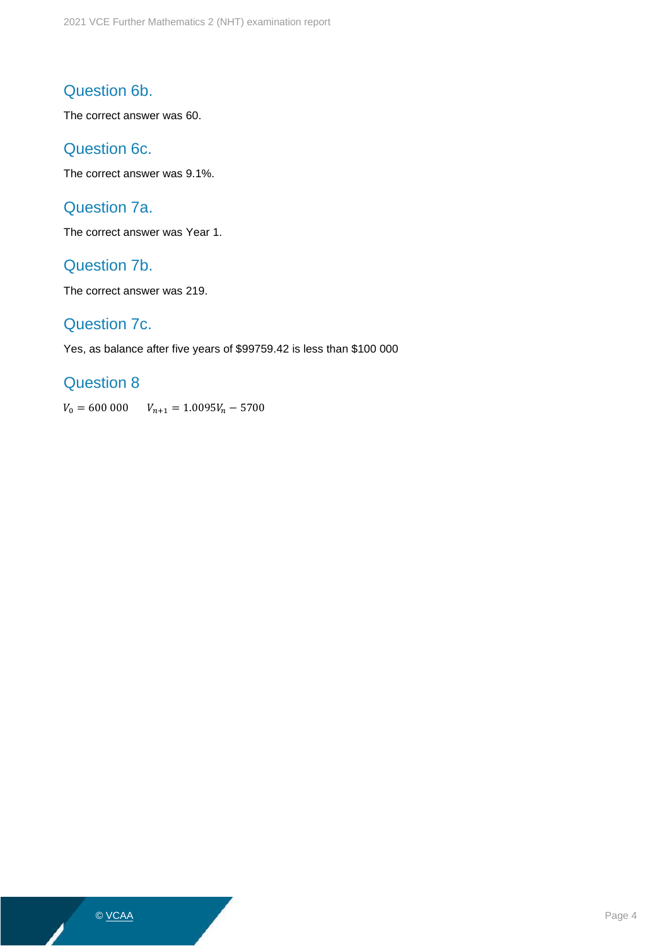## Question 6b.

The correct answer was 60.

#### Question 6c.

The correct answer was 9.1%.

## Question 7a.

The correct answer was Year 1.

#### Question 7b.

The correct answer was 219.

#### Question 7c.

Yes, as balance after five years of \$99759.42 is less than \$100 000

#### Question 8

 $V_0 = 600\,000$   $V_{n+1} = 1.0095 V_n - 5700$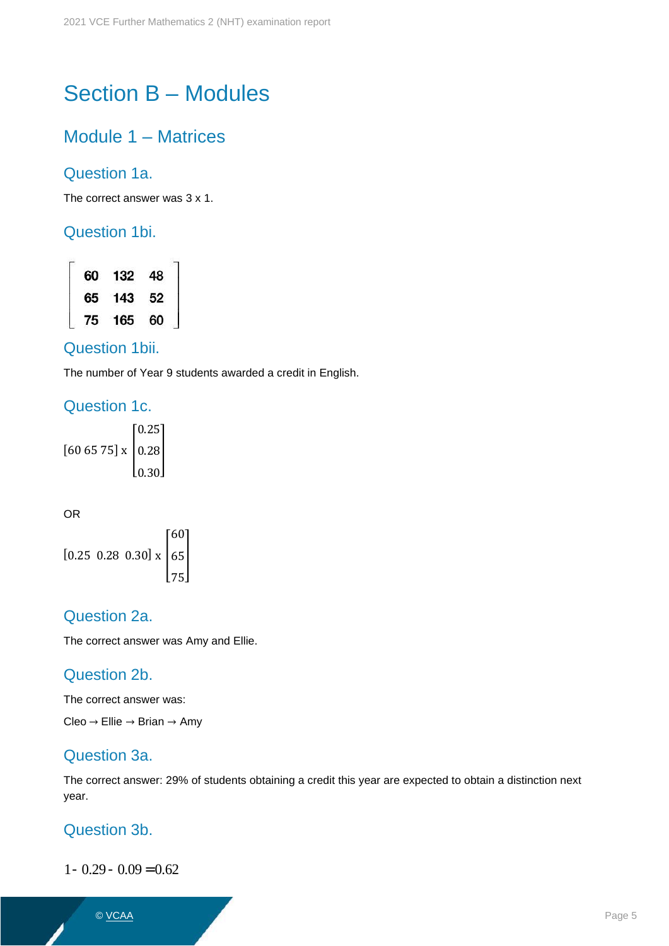## Section B – Modules

## Module 1 – Matrices

#### Question 1a.

The correct answer was 3 x 1.

#### Question 1bi.

60 132 48<br>65 143 52 60 75 165

#### Question 1bii.

The number of Year 9 students awarded a credit in English.

#### Question 1c.

 $[60 65 75] \times \begin{bmatrix} 0.28 \\ 0.30 \end{bmatrix}$ 0.25

OR

$$
[0.25 \ 0.28 \ 0.30] \times \begin{bmatrix} 60 \\ 65 \\ 75 \end{bmatrix}
$$

#### Question 2a.

The correct answer was Amy and Ellie.

#### Question 2b.

The correct answer was:

Cleo  $\rightarrow$  Ellie  $\rightarrow$  Brian  $\rightarrow$  Amy

#### Question 3a.

The correct answer: 29% of students obtaining a credit this year are expected to obtain a distinction next year.

#### Question 3b.

 $1 - 0.29 - 0.09 = 0.62$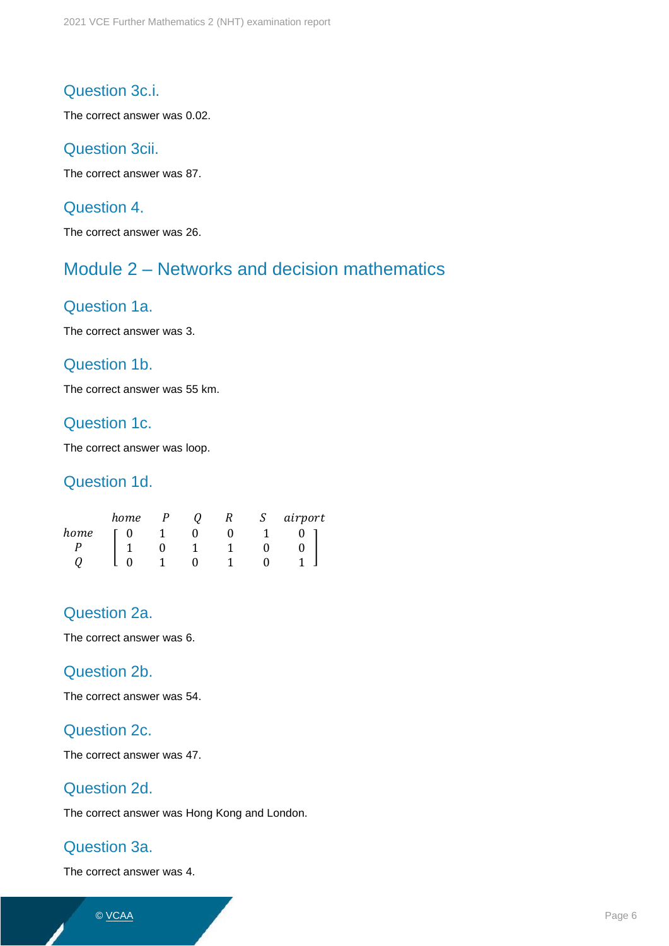#### Question 3c.i.

The correct answer was 0.02.

#### Question 3cii.

The correct answer was 87.

#### Question 4.

The correct answer was 26.

## Module 2 – Networks and decision mathematics

#### Question 1a.

The correct answer was 3.

#### Question 1b.

The correct answer was 55 km.

#### Question 1c.

The correct answer was loop.

#### Question 1d.

|      | home |  | S | airport |
|------|------|--|---|---------|
| home |      |  |   |         |
|      |      |  |   |         |
|      |      |  |   |         |

#### Question 2a.

The correct answer was 6.

#### Question 2b.

The correct answer was 54.

#### Question 2c.

The correct answer was 47.

#### Question 2d.

The correct answer was Hong Kong and London.

#### Question 3a.

The correct answer was 4.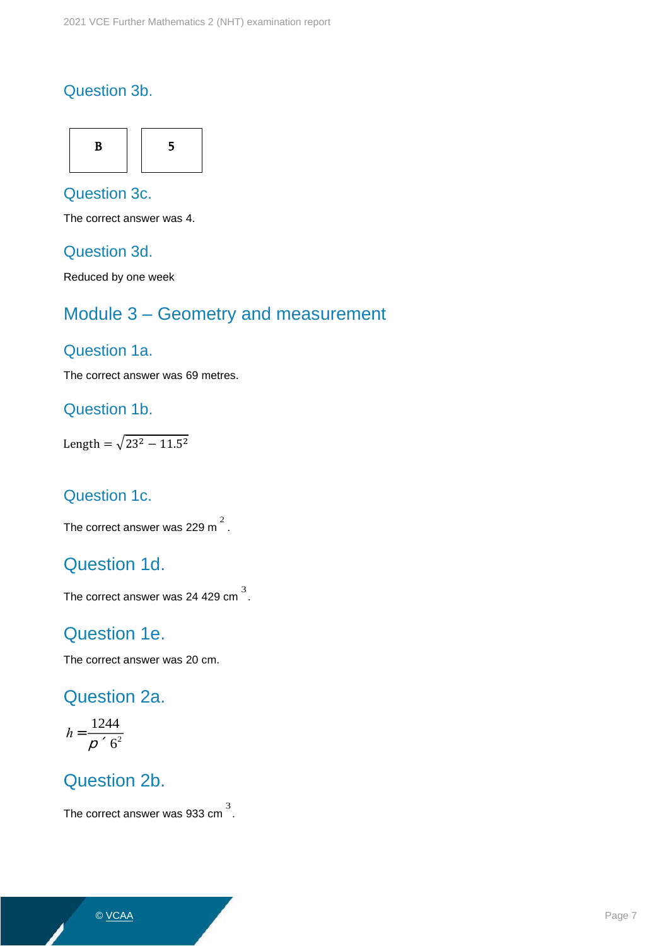#### Question 3b.



## Question 3c.

The correct answer was 4.

#### Question 3d.

Reduced by one week

## Module 3 – Geometry and measurement

#### Question 1a.

The correct answer was 69 metres.

#### Question 1b.

Length =  $\sqrt{23^2 - 11.5^2}$ 

#### Question 1c.

The correct answer was 229 m  $^2$  .

## Question 1d.

The correct answer was 24 429 cm $^3$ .

## Question 1e.

The correct answer was 20 cm.

## Question 2a.

$$
h=\frac{1244}{p\cdot 6^2}
$$

## Question 2b.

The correct answer was 933 cm  $^3$  .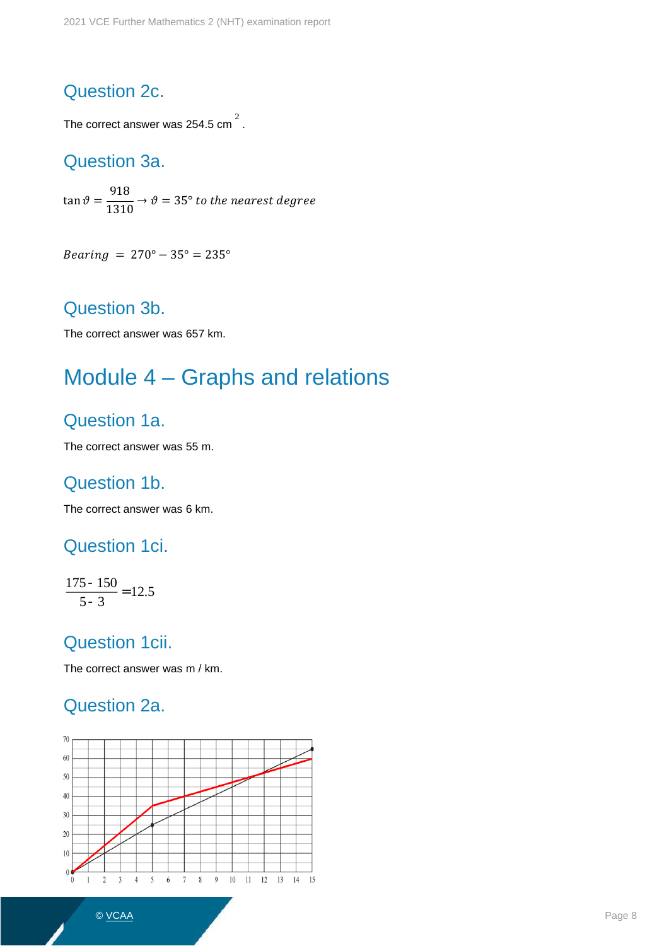## Question 2c.

The correct answer was 254.5 cm $^2$  .

## Question 3a.

 $\tan \vartheta =$ 918  $\overline{1310} \rightarrow \vartheta = 35^{\circ}$  to the nearest degree

 $\textit{Bearing} = 270^{\circ} - 35^{\circ} = 235^{\circ}$ 

## Question 3b.

The correct answer was 657 km.

## Module 4 – Graphs and relations

## Question 1a.

The correct answer was 55 m.

## Question 1b.

The correct answer was 6 km.

## Question 1ci.

175-150  $\frac{28.5}{5-3}$  = 12.5

## Question 1cii.

The correct answer was m / km.

## Question 2a.